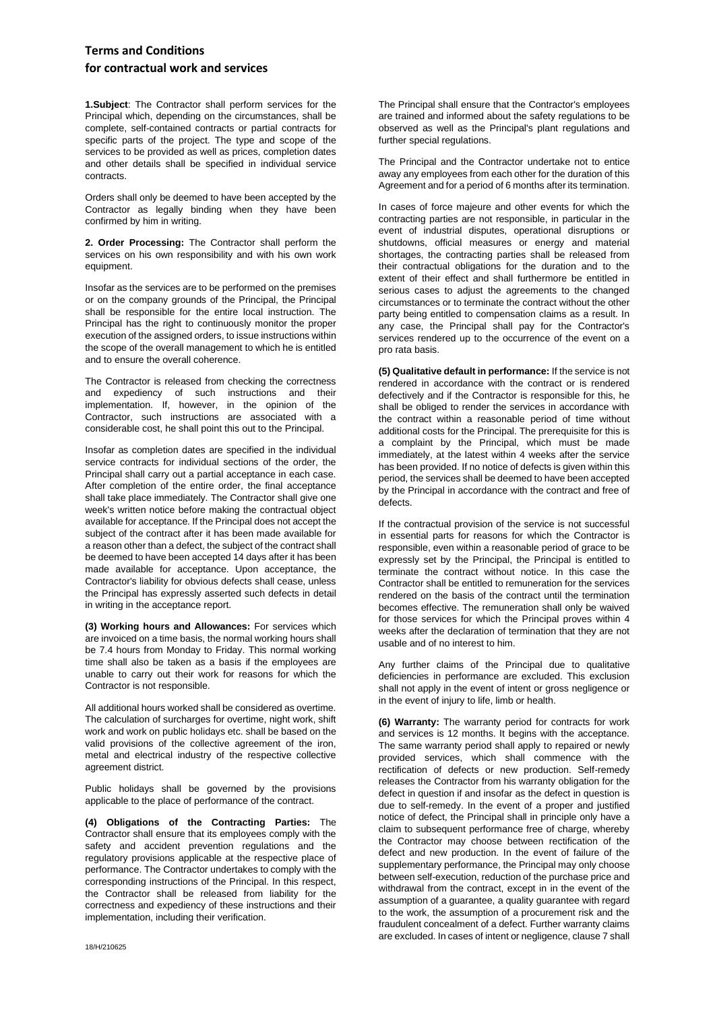## **Terms and Conditions for contractual work and services**

**1.Subject**: The Contractor shall perform services for the Principal which, depending on the circumstances, shall be complete, self-contained contracts or partial contracts for specific parts of the project. The type and scope of the services to be provided as well as prices, completion dates and other details shall be specified in individual service contracts.

Orders shall only be deemed to have been accepted by the Contractor as legally binding when they have been confirmed by him in writing.

**2. Order Processing:** The Contractor shall perform the services on his own responsibility and with his own work equipment.

Insofar as the services are to be performed on the premises or on the company grounds of the Principal, the Principal shall be responsible for the entire local instruction. The Principal has the right to continuously monitor the proper execution of the assigned orders, to issue instructions within the scope of the overall management to which he is entitled and to ensure the overall coherence.

The Contractor is released from checking the correctness and expediency of such instructions and their implementation. If, however, in the opinion of the Contractor, such instructions are associated with a considerable cost, he shall point this out to the Principal.

Insofar as completion dates are specified in the individual service contracts for individual sections of the order, the Principal shall carry out a partial acceptance in each case. After completion of the entire order, the final acceptance shall take place immediately. The Contractor shall give one week's written notice before making the contractual object available for acceptance. If the Principal does not accept the subject of the contract after it has been made available for a reason other than a defect, the subject of the contract shall be deemed to have been accepted 14 days after it has been made available for acceptance. Upon acceptance, the Contractor's liability for obvious defects shall cease, unless the Principal has expressly asserted such defects in detail in writing in the acceptance report.

**(3) Working hours and Allowances:** For services which are invoiced on a time basis, the normal working hours shall be 7.4 hours from Monday to Friday. This normal working time shall also be taken as a basis if the employees are unable to carry out their work for reasons for which the Contractor is not responsible.

All additional hours worked shall be considered as overtime. The calculation of surcharges for overtime, night work, shift work and work on public holidays etc. shall be based on the valid provisions of the collective agreement of the iron, metal and electrical industry of the respective collective agreement district.

Public holidays shall be governed by the provisions applicable to the place of performance of the contract.

**(4) Obligations of the Contracting Parties:** The Contractor shall ensure that its employees comply with the safety and accident prevention regulations and the regulatory provisions applicable at the respective place of performance. The Contractor undertakes to comply with the corresponding instructions of the Principal. In this respect, the Contractor shall be released from liability for the correctness and expediency of these instructions and their implementation, including their verification.

The Principal and the Contractor undertake not to entice away any employees from each other for the duration of this Agreement and for a period of 6 months after its termination.

In cases of force majeure and other events for which the contracting parties are not responsible, in particular in the event of industrial disputes, operational disruptions or shutdowns, official measures or energy and material shortages, the contracting parties shall be released from their contractual obligations for the duration and to the extent of their effect and shall furthermore be entitled in serious cases to adjust the agreements to the changed circumstances or to terminate the contract without the other party being entitled to compensation claims as a result. In any case, the Principal shall pay for the Contractor's services rendered up to the occurrence of the event on a pro rata basis.

**(5) Qualitative default in performance:** If the service is not rendered in accordance with the contract or is rendered defectively and if the Contractor is responsible for this, he shall be obliged to render the services in accordance with the contract within a reasonable period of time without additional costs for the Principal. The prerequisite for this is a complaint by the Principal, which must be made immediately, at the latest within 4 weeks after the service has been provided. If no notice of defects is given within this period, the services shall be deemed to have been accepted by the Principal in accordance with the contract and free of defects.

If the contractual provision of the service is not successful in essential parts for reasons for which the Contractor is responsible, even within a reasonable period of grace to be expressly set by the Principal, the Principal is entitled to terminate the contract without notice. In this case the Contractor shall be entitled to remuneration for the services rendered on the basis of the contract until the termination becomes effective. The remuneration shall only be waived for those services for which the Principal proves within 4 weeks after the declaration of termination that they are not usable and of no interest to him.

Any further claims of the Principal due to qualitative deficiencies in performance are excluded. This exclusion shall not apply in the event of intent or gross negligence or in the event of injury to life, limb or health.

**(6) Warranty:** The warranty period for contracts for work and services is 12 months. It begins with the acceptance. The same warranty period shall apply to repaired or newly provided services, which shall commence with the rectification of defects or new production. Self-remedy releases the Contractor from his warranty obligation for the defect in question if and insofar as the defect in question is due to self-remedy. In the event of a proper and justified notice of defect, the Principal shall in principle only have a claim to subsequent performance free of charge, whereby the Contractor may choose between rectification of the defect and new production. In the event of failure of the supplementary performance, the Principal may only choose between self-execution, reduction of the purchase price and withdrawal from the contract, except in in the event of the assumption of a guarantee, a quality guarantee with regard to the work, the assumption of a procurement risk and the fraudulent concealment of a defect. Further warranty claims are excluded. In cases of intent or negligence, clause 7 shall